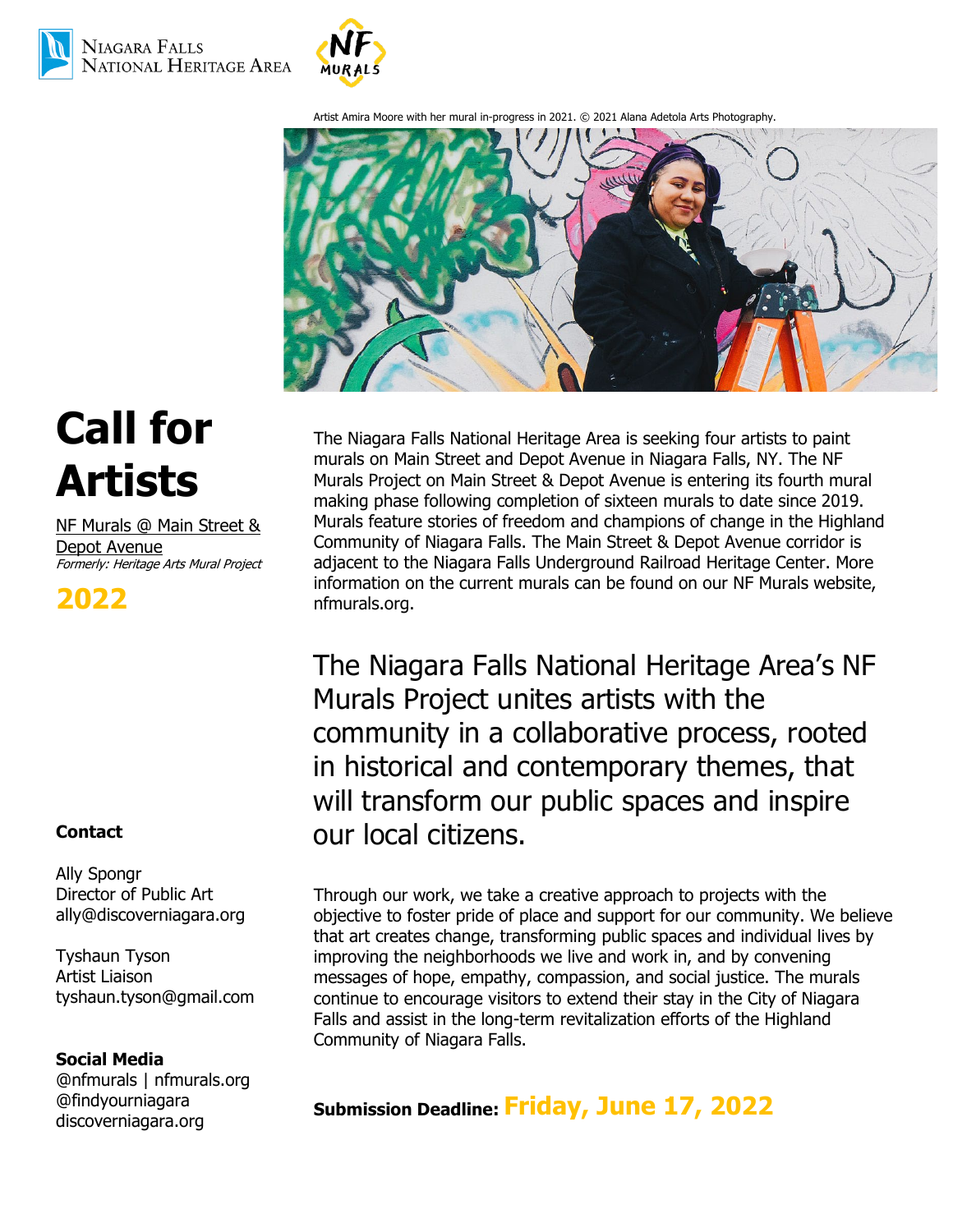



Artist Amira Moore with her mural in-progress in 2021. © 2021 Alana Adetola Arts Photography.



# **Call for Artists**

NF Murals @ Main Street & Depot Avenue Formerly: Heritage Arts Mural Project

**2022**

# **Contact**

Ally Spongr Director of Public Art [ally@discoverniagara.org](mailto:ally@discoverniagara.org)

Tyshaun Tyson Artist Liaison tyshaun.tyson@gmail.com

## **Social Media**

@nfmurals | nfmurals.org @findyourniagara discoverniagara.org

The Niagara Falls National Heritage Area is seeking four artists to paint murals on Main Street and Depot Avenue in Niagara Falls, NY. The NF Murals Project on Main Street & Depot Avenue is entering its fourth mural making phase following completion of sixteen murals to date since 2019. Murals feature stories of freedom and champions of change in the Highland Community of Niagara Falls. The Main Street & Depot Avenue corridor is adjacent to the Niagara Falls Underground Railroad Heritage Center. More information on the current murals can be found on our NF Murals website, nfmurals.org.

The Niagara Falls National Heritage Area's NF Murals Project unites artists with the community in a collaborative process, rooted in historical and contemporary themes, that will transform our public spaces and inspire our local citizens.

Through our work, we take a creative approach to projects with the objective to foster pride of place and support for our community. We believe that art creates change, transforming public spaces and individual lives by improving the neighborhoods we live and work in, and by convening messages of hope, empathy, compassion, and social justice. The murals continue to encourage visitors to extend their stay in the City of Niagara Falls and assist in the long-term revitalization efforts of the Highland Community of Niagara Falls.

**Submission Deadline: Friday, June 17, 2022**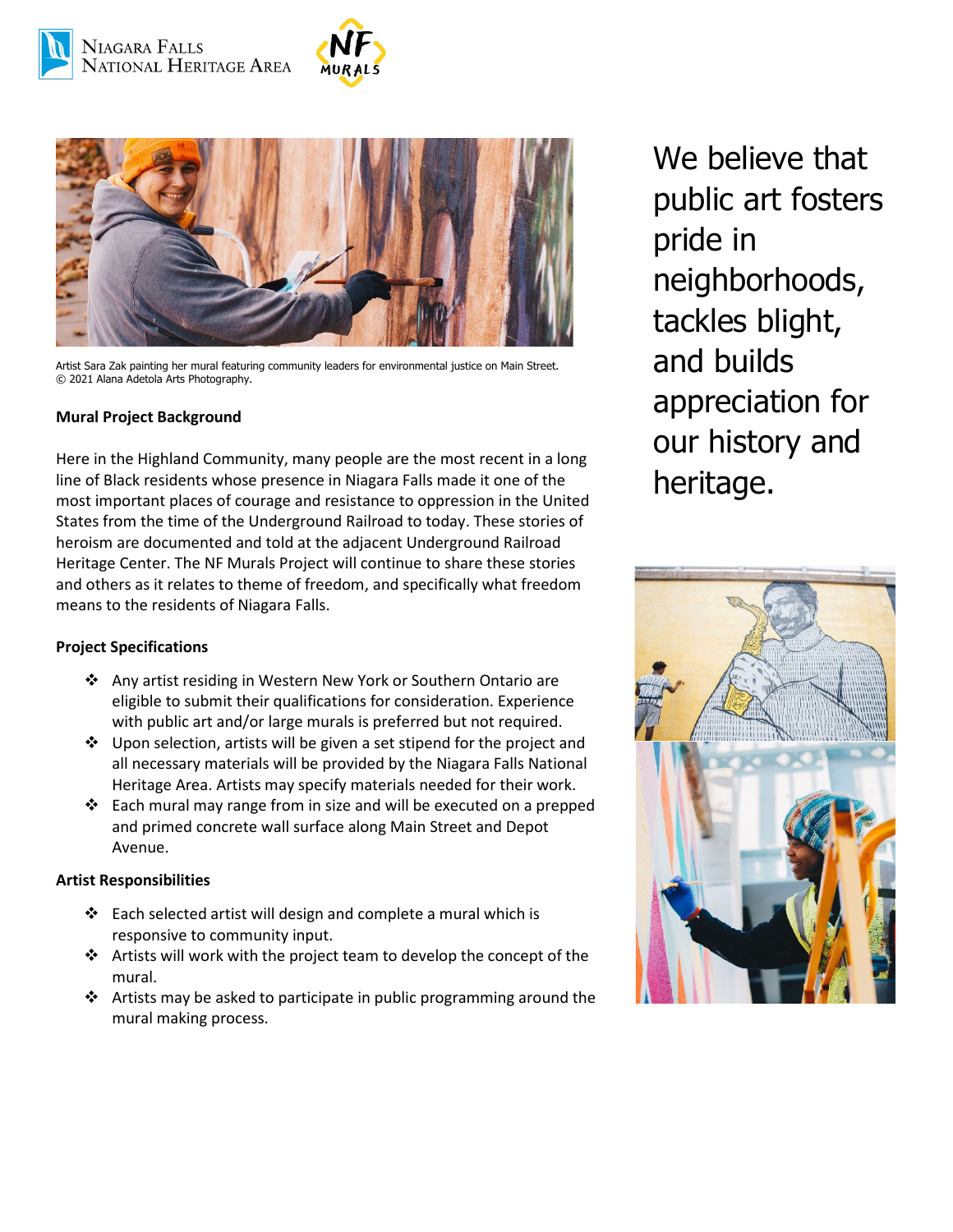



Artist Sara Zak painting her mural featuring community leaders for environmental justice on Main Street. © 2021 Alana Adetola Arts Photography.

#### **Mural Project Background**

Here in the Highland Community, many people are the most recent in a long line of Black residents whose presence in Niagara Falls made it one of the most important places of courage and resistance to oppression in the United States from the time of the Underground Railroad to today. These stories of heroism are documented and told at the adjacent Underground Railroad Heritage Center. The NF Murals Project will continue to share these stories and others as it relates to theme of freedom, and specifically what freedom means to the residents of Niagara Falls.

#### **Project Specifications**

- Any artist residing in Western New York or Southern Ontario are eligible to submit their qualifications for consideration. Experience with public art and/or large murals is preferred but not required.
- $\cdot$  Upon selection, artists will be given a set stipend for the project and all necessary materials will be provided by the Niagara Falls National Heritage Area. Artists may specify materials needed for their work.
- $\div$  Each mural may range from in size and will be executed on a prepped and primed concrete wall surface along Main Street and Depot Avenue.

#### **Artist Responsibilities**

- $\cdot \cdot$  Each selected artist will design and complete a mural which is responsive to community input.
- Artists will work with the project team to develop the concept of the mural.
- $\cdot \cdot$  Artists may be asked to participate in public programming around the mural making process.

We believe that public art fosters pride in neighborhoods, tackles blight, and builds appreciation for our history and heritage.